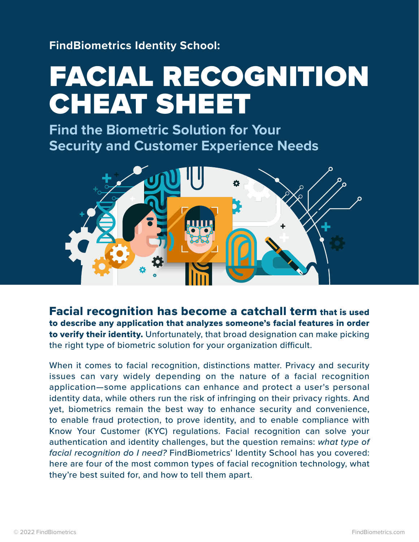**FindBiometrics Identity School:**

# FACIAL RECOGNITION CHEAT SHEET

**Find the Biometric Solution for Your Security and Customer Experience Needs**



Facial recognition has become a catchall term that is used to describe any application that analyzes someone's facial features in order to verify their identity. Unfortunately, that broad designation can make picking the right type of biometric solution for your organization difficult.

When it comes to facial recognition, distinctions matter. Privacy and security issues can vary widely depending on the nature of a facial recognition application—some applications can enhance and protect a user's personal identity data, while others run the risk of infringing on their privacy rights. And yet, biometrics remain the best way to enhance security and convenience, to enable fraud protection, to prove identity, and to enable compliance with Know Your Customer (KYC) regulations. Facial recognition can solve your authentication and identity challenges, but the question remains: *what type of facial recognition do I need?* FindBiometrics' Identity School has you covered: here are four of the most common types of facial recognition technology, what they're best suited for, and how to tell them apart.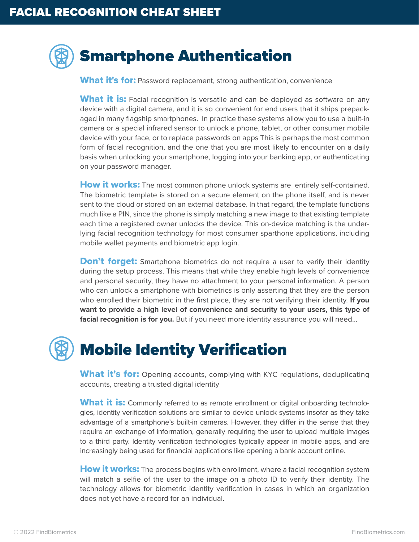#### Smartphone Authentication

What it's for: Password replacement, strong authentication, convenience

**What it is:** Facial recognition is versatile and can be deployed as software on any device with a digital camera, and it is so convenient for end users that it ships prepackaged in many flagship smartphones. In practice these systems allow you to use a built-in camera or a special infrared sensor to unlock a phone, tablet, or other consumer mobile device with your face, or to replace passwords on apps This is perhaps the most common form of facial recognition, and the one that you are most likely to encounter on a daily basis when unlocking your smartphone, logging into your banking app, or authenticating on your password manager.

How it works: The most common phone unlock systems are entirely self-contained. The biometric template is stored on a secure element on the phone itself, and is never sent to the cloud or stored on an external database. In that regard, the template functions much like a PIN, since the phone is simply matching a new image to that existing template each time a registered owner unlocks the device. This on-device matching is the underlying facial recognition technology for most consumer sparthone applications, including mobile wallet payments and biometric app login.

**Don't forget:** Smartphone biometrics do not require a user to verify their identity during the setup process. This means that while they enable high levels of convenience and personal security, they have no attachment to your personal information. A person who can unlock a smartphone with biometrics is only asserting that they are the person who enrolled their biometric in the first place, they are not verifying their identity. **If you want to provide a high level of convenience and security to your users, this type of facial recognition is for you.** But if you need more identity assurance you will need...

### Mobile Identity Verification

**What it's for:** Opening accounts, complying with KYC regulations, deduplicating accounts, creating a trusted digital identity

What it is: Commonly referred to as remote enrollment or digital onboarding technologies, identity verification solutions are similar to device unlock systems insofar as they take advantage of a smartphone's built-in cameras. However, they differ in the sense that they require an exchange of information, generally requiring the user to upload multiple images to a third party. Identity verification technologies typically appear in mobile apps, and are increasingly being used for financial applications like opening a bank account online.

**How it works:** The process begins with enrollment, where a facial recognition system will match a selfie of the user to the image on a photo ID to verify their identity. The technology allows for biometric identity verification in cases in which an organization does not yet have a record for an individual.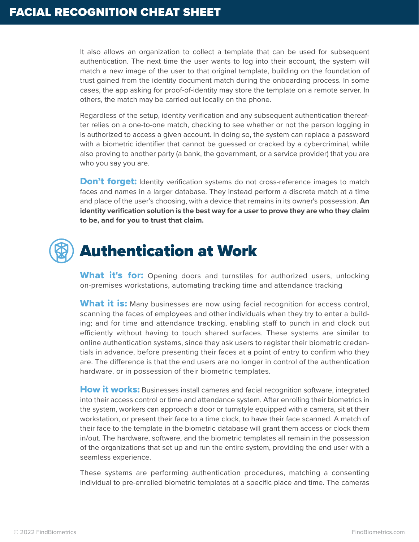It also allows an organization to collect a template that can be used for subsequent authentication. The next time the user wants to log into their account, the system will match a new image of the user to that original template, building on the foundation of trust gained from the identity document match during the onboarding process. In some cases, the app asking for proof-of-identity may store the template on a remote server. In others, the match may be carried out locally on the phone.

Regardless of the setup, identity verification and any subsequent authentication thereafter relies on a one-to-one match, checking to see whether or not the person logging in is authorized to access a given account. In doing so, the system can replace a password with a biometric identifier that cannot be guessed or cracked by a cybercriminal, while also proving to another party (a bank, the government, or a service provider) that you are who you say you are.

**Don't forget:** Identity verification systems do not cross-reference images to match faces and names in a larger database. They instead perform a discrete match at a time and place of the user's choosing, with a device that remains in its owner's possession. **An identity verification solution is the best way for a user to prove they are who they claim to be, and for you to trust that claim.**

# Authentication at Work

What it's for: Opening doors and turnstiles for authorized users, unlocking on-premises workstations, automating tracking time and attendance tracking

What it is: Many businesses are now using facial recognition for access control, scanning the faces of employees and other individuals when they try to enter a building; and for time and attendance tracking, enabling staff to punch in and clock out efficiently without having to touch shared surfaces. These systems are similar to online authentication systems, since they ask users to register their biometric credentials in advance, before presenting their faces at a point of entry to confirm who they are. The difference is that the end users are no longer in control of the authentication hardware, or in possession of their biometric templates.

How it works: Businesses install cameras and facial recognition software, integrated into their access control or time and attendance system. After enrolling their biometrics in the system, workers can approach a door or turnstyle equipped with a camera, sit at their workstation, or present their face to a time clock, to have their face scanned. A match of their face to the template in the biometric database will grant them access or clock them in/out. The hardware, software, and the biometric templates all remain in the possession of the organizations that set up and run the entire system, providing the end user with a seamless experience.

These systems are performing authentication procedures, matching a consenting individual to pre-enrolled biometric templates at a specific place and time. The cameras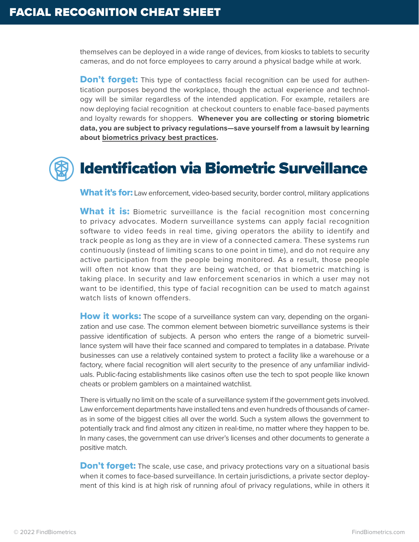themselves can be deployed in a wide range of devices, from kiosks to tablets to security cameras, and do not force employees to carry around a physical badge while at work.

**Don't forget:** This type of contactless facial recognition can be used for authentication purposes beyond the workplace, though the actual experience and technology will be similar regardless of the intended application. For example, retailers are now deploying facial recognition at checkout counters to enable face-based payments and loyalty rewards for shoppers. **Whenever you are collecting or storing biometric data, you are subject to privacy regulations—save yourself from a lawsuit by learning about [biometrics privacy best practices](https://findbiometrics.com/identity-school-biometrics-privacy-checklist-504041/).**

## Identification via Biometric Surveillance

**What it's for:** Law enforcement, video-based security, border control, military applications

**What it is:** Biometric surveillance is the facial recognition most concerning to privacy advocates. Modern surveillance systems can apply facial recognition software to video feeds in real time, giving operators the ability to identify and track people as long as they are in view of a connected camera. These systems run continuously (instead of limiting scans to one point in time), and do not require any active participation from the people being monitored. As a result, those people will often not know that they are being watched, or that biometric matching is taking place. In security and law enforcement scenarios in which a user may not want to be identified, this type of facial recognition can be used to match against watch lists of known offenders.

**How it works:** The scope of a surveillance system can vary, depending on the organization and use case. The common element between biometric surveillance systems is their passive identification of subjects. A person who enters the range of a biometric surveillance system will have their face scanned and compared to templates in a database. Private businesses can use a relatively contained system to protect a facility like a warehouse or a factory, where facial recognition will alert security to the presence of any unfamiliar individuals. Public-facing establishments like casinos often use the tech to spot people like known cheats or problem gamblers on a maintained watchlist.

There is virtually no limit on the scale of a surveillance system if the government gets involved. Law enforcement departments have installed tens and even hundreds of thousands of cameras in some of the biggest cities all over the world. Such a system allows the government to potentially track and find almost any citizen in real-time, no matter where they happen to be. In many cases, the government can use driver's licenses and other documents to generate a positive match.

**Don't forget:** The scale, use case, and privacy protections vary on a situational basis when it comes to face-based surveillance. In certain jurisdictions, a private sector deployment of this kind is at high risk of running afoul of privacy regulations, while in others it